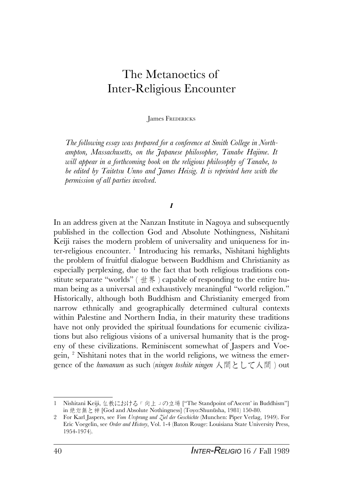## The Metanoetics of Inter-Religious Encounter

James FREDERICKS

*The following essay was prepared for a conference at Smith College in Northampton, Massachusetts, on the Japanese philosopher, Tanabe Hajime. It will appear in a forthcoming book on the religious philosophy of Tanabe, to be edited by Taitetsu Unno and James Heisig. It is reprinted here with the permission of all parties involved.*

## *I*

In an address given at the Nanzan Institute in Nagoya and subsequently published in the collection God and Absolute Nothingness, Nishitani Keiji raises the modern problem of universality and uniqueness for inter-religious encounter. <sup>1</sup> Introducing his remarks, Nishitani highlights the problem of fruitful dialogue between Buddhism and Christianity as especially perplexing, due to the fact that both religious traditions constitute separate "worlds" ( $#R$ ) capable of responding to the entire human being as a universal and exhaustively meaningful "world religion." Historically, although both Buddhism and Christianity emerged from narrow ethnically and geographically determined cultural contexts within Palestine and Northern India, in their maturity these traditions have not only provided the spiritual foundations for ecumenic civilizations but also religious visions of a universal humanity that is the progeny of these civilizations. Reminiscent somewhat of Jaspers and Voegein, <sup>2</sup> Nishitani notes that in the world religions, we witness the emergence of the *humanum* as such (*ningen toshite ningen* 人間として人間) out

Nishitani Keiji, 仏教における「向上」の立場 ["The Standpoint of Ascent' in Buddhism"] in 絶対無と神 [God and Absolute Nothingness] (Toyo:Shunūsha, 1981) 150-80.

<sup>2</sup> For Karl Jaspers, see *Vom Ursprung und Ziel der Geschichte* (Munchen: Piper Verlag, 1949). For Eric Voegelin, see *Order and History*, Vol. 1-4 (Baton Rouge: Louisiana State University Press, 1954-1974).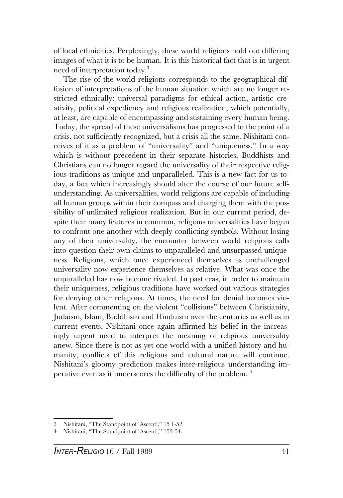of local ethnicities. Perplexingly, these world religions hold out differing images of what it is to be human. It is this historical fact that is in urgent need of interpretation today.<sup>3</sup>

The rise of the world religions corresponds to the geographical diffusion of interpretations of the human situation which are no longer restricted ethnically: universal paradigms for ethical action, artistic creativity, political expediency and religious realization, which potentially, at least, are capable of encompassing and sustaining every human being. Today, the spread of these universalisms has progressed to the point of a crisis, not sufficiently recognized, but a crisis all the same. Nishitani conceives of it as a problem of "universality" and "uniqueness." In a way which is without precedent in their separate histories, Buddhists and Christians can no longer regard the universality of their respective religious traditions as unique and unparalleled. This is a new fact for us today, a fact which increasingly should alter the course of our future selfunderstanding. As universalities, world religions are capable of including all human groups within their compass and charging them with the possibility of unlimited religious realization. But in our current period, despite their many features in common, religious universalities have begun to confront one another with deeply conflicting symbols. Without losing any of their universality, the encounter between world religions calls into question their own claims to unparalleled and unsurpassed uniqueness. Religions, which once experienced themselves as unchallenged universality now experience themselves as relative. What was once the unparalleled has now become rivaled. In past eras, in order to maintain their uniqueness, religious traditions have worked out various strategies for denying other religions. At times, the need for denial becomes violent. After commenting on the violent "collisions" between Christianity, Judaism, Islam, Buddhism and Hinduism over the centuries as well as in current events, Nishitani once again affirmed his belief in the increasingly urgent need to interpret the meaning of religious universality anew. Since there is not as yet one world with a unified history and humanity, conflicts of this religious and cultural nature will continue. Nishitani's gloomy prediction makes inter-religious understanding imperative even as it underscores the difficulty of the problem. <sup>4</sup>

<sup>3</sup> Nishitani, "The Standpoint of 'Ascent'," 15 1-52.

<sup>4</sup> Nishitani, "The Standpoint of 'Ascent'," 153-54.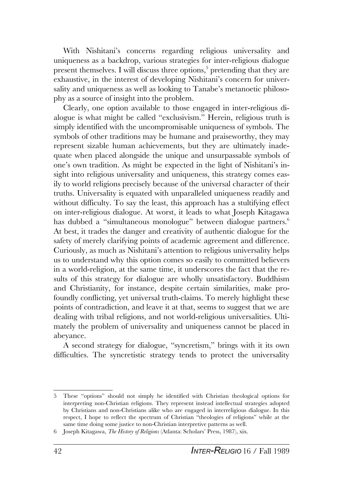With Nishitani's concerns regarding religious universality and uniqueness as a backdrop, various strategies for inter-religious dialogue present themselves. I will discuss three options,<sup>5</sup> pretending that they are exhaustive, in the interest of developing Nishitani's concern for universality and uniqueness as well as looking to Tanabe's metanoetic philosophy as a source of insight into the problem.

Clearly, one option available to those engaged in inter-religious dialogue is what might be called "exclusivism." Herein, religious truth is simply identified with the uncompromisable uniqueness of symbols. The symbols of other traditions may be humane and praiseworthy, they may represent sizable human achievements, but they are ultimately inadequate when placed alongside the unique and unsurpassable symbols of one's own tradition. As might be expected in the light of Nishitani's insight into religious universality and uniqueness, this strategy comes easily to world religions precisely because of the universal character of their truths. Universality is equated with unparalleled uniqueness readily and without difficulty. To say the least, this approach has a stultifying effect on inter-religious dialogue. At worst, it leads to what Joseph Kitagawa has dubbed a "simultaneous monologue" between dialogue partners.<sup>6</sup> At best, it trades the danger and creativity of authentic dialogue for the safety of merely clarifying points of academic agreement and difference. Curiously, as much as Nishitani's attention to religious universality helps us to understand why this option comes so easily to committed believers in a world-religion, at the same time, it underscores the fact that the results of this strategy for dialogue are wholly unsatisfactory. Buddhism and Christianity, for instance, despite certain similarities, make profoundly conflicting, yet universal truth-claims. To merely highlight these points of contradiction, and leave it at that, seems to suggest that we are dealing with tribal religions, and not world-religious universalities. Ultimately the problem of universality and uniqueness cannot be placed in abeyance.

A second strategy for dialogue, "syncretism," brings with it its own difficulties. The syncretistic strategy tends to protect the universality

<sup>5</sup> These "options" should not simply be identified with Christian theological options for interpreting non-Christian religions. They represent instead intellectual strategies adopted by Christians and non-Christians alike who are engaged in interreligious dialogue. In this respect, I hope to reflect the spectrum of Christian "theologies of religions" while at the same time doing some justice to non-Christian interpretive patterns as well.

<sup>6</sup> Joseph Kitagawa, *The History of Religions* (Atlanta: Scholars' Press, 1987), xix.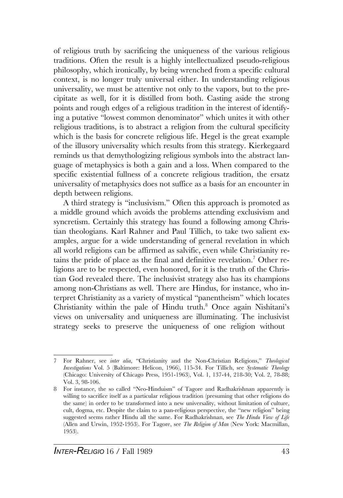of religious truth by sacrificing the uniqueness of the various religious traditions. Often the result is a highly intellectualized pseudo-religious philosophy, which ironically, by being wrenched from a specific cultural context, is no longer truly universal either. In understanding religious universality, we must be attentive not only to the vapors, but to the precipitate as well, for it is distilled from both. Casting aside the strong points and rough edges of a religious tradition in the interest of identifying a putative "lowest common denominator" which unites it with other religious traditions, is to abstract a religion from the cultural specificity which is the basis for concrete religious life. Hegel is the great example of the illusory universality which results from this strategy. Kierkegaard reminds us that demythologizing religious symbols into the abstract language of metaphysics is both a gain and a loss. When compared to the specific existential fullness of a concrete religious tradition, the ersatz universality of metaphysics does not suffice as a basis for an encounter in depth between religions.

A third strategy is "inclusivism." Often this approach is promoted as a middle ground which avoids the problems attending exclusivism and syncretism. Certainly this strategy has found a following among Christian theologians. Karl Rahner and Paul Tillich, to take two salient examples, argue for a wide understanding of general revelation in which all world religions can be affirmed as salvific, even while Christianity retains the pride of place as the final and definitive revelation.<sup>7</sup> Other religions are to be respected, even honored, for it is the truth of the Christian God revealed there. The inclusivist strategy also has its champions among non-Christians as well. There are Hindus, for instance, who interpret Christianity as a variety of mystical "panentheism" which locates Christianity within the pale of Hindu truth.<sup>8</sup> Once again Nishitani's views on universality and uniqueness are illuminating. The inclusivist strategy seeks to preserve the uniqueness of one religion without

<sup>7</sup> For Rahner, see *inter alia*, "Christianity and the Non-Christian Religions," *Theological Investigations* Vol. 5 (Baltimore: Helicon, 1966), 115-34. For Tillich, see *Systematic Theology* (Chicago: University of Chicago Press, 1951-1963), Vol. 1, 137-44, 218-30; Vol. 2, 78-88; Vol. 3, 98-106.

<sup>8</sup> For instance, the so called "Neo-Hinduism" of Tagore and Radhakrishnan apparently is willing to sacrifice itself as a particular religious tradition (presuming that other religions do the same) in order to be transformed into a new universality, without limitation of culture, cult, dogma, etc. Despite the claim to a pan-religious perspective, the "new religion" being suggested seems rather Hindu all the same. For Radhakrishnan, see *The Hindu View of Life* (Allen and Urwin, 1952-1953). For Tagore, see *The Religion of Man* (New York: Macmillan, 1953).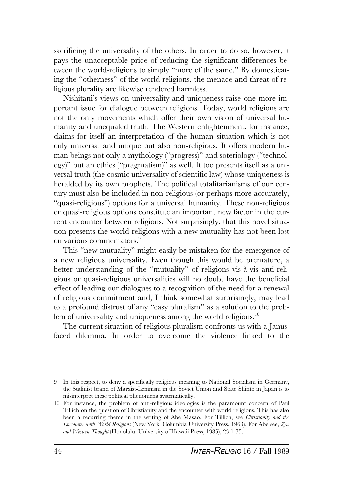sacrificing the universality of the others. In order to do so, however, it pays the unacceptable price of reducing the significant differences between the world-religions to simply "more of the same." By domesticating the "otherness" of the world-religions, the menace and threat of religious plurality are likewise rendered harmless.

Nishitani's views on universality and uniqueness raise one more important issue for dialogue between religions. Today, world religions are not the only movements which offer their own vision of universal humanity and unequaled truth. The Western enlightenment, for instance, claims for itself an interpretation of the human situation which is not only universal and unique but also non-religious. It offers modern human beings not only a mythology ("progress)" and soteriology ("technology)" but an ethics ("pragmatism)" as well. It too presents itself as a universal truth (the cosmic universality of scientific law) whose uniqueness is heralded by its own prophets. The political totalitarianisms of our century must also be included in non-religious (or perhaps more accurately, "quasi-religious") options for a universal humanity. These non-religious or quasi-religious options constitute an important new factor in the current encounter between religions. Not surprisingly, that this novel situation presents the world-religions with a new mutuality has not been lost on various commentators.<sup>9</sup>

This "new mutuality" might easily be mistaken for the emergence of a new religious universality. Even though this would be premature, a better understanding of the "mutuality" of religions vis-à-vis anti-religious or quasi-religious universalities will no doubt have the beneficial effect of leading our dialogues to a recognition of the need for a renewal of religious commitment and, I think somewhat surprisingly, may lead to a profound distrust of any "easy pluralism" as a solution to the problem of universality and uniqueness among the world religions.<sup>10</sup>

The current situation of religious pluralism confronts us with a Janusfaced dilemma. In order to overcome the violence linked to the

<sup>9</sup> In this respect, to deny a specifically religious meaning to National Socialism in Germany, the Stalinist brand of Marxist-Leninism in the Soviet Union and State Shinto in Japan is to misinterpret these political phenomena systematically.

<sup>10</sup> For instance, the problem of anti-religious ideologies is the paramount concern of Paul Tillich on the question of Christianity and the encounter with world religions. This has also been a recurring theme in the writing of Abe Masao. For Tillich, see *Christianity and the Encounter with World Religions* (New York: Columbia University Press, 1963). For Abe see, *Zen and Western Thought* (Honolulu: University of Hawaii Press, 1985), 23 1-75.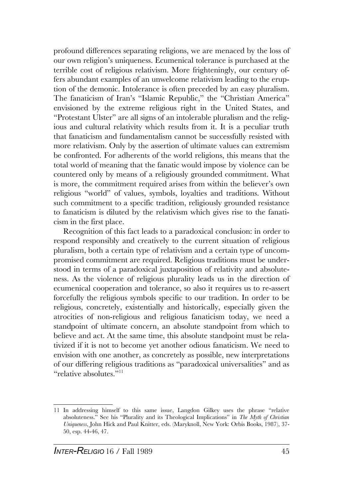profound differences separating religions, we are menaced by the loss of our own religion's uniqueness. Ecumenical tolerance is purchased at the terrible cost of religious relativism. More frighteningly, our century offers abundant examples of an unwelcome relativism leading to the eruption of the demonic. Intolerance is often preceded by an easy pluralism. The fanaticism of Iran's "Islamic Republic," the "Christian America" envisioned by the extreme religious right in the United States, and "Protestant Ulster" are all signs of an intolerable pluralism and the religious and cultural relativity which results from it. It is a peculiar truth that fanaticism and fundamentalism cannot be successfully resisted with more relativism. Only by the assertion of ultimate values can extremism be confronted. For adherents of the world religions, this means that the total world of meaning that the fanatic would impose by violence can be countered only by means of a religiously grounded commitment. What is more, the commitment required arises from within the believer's own religious "world" of values, symbols, loyalties and traditions. Without such commitment to a specific tradition, religiously grounded resistance to fanaticism is diluted by the relativism which gives rise to the fanaticism in the first place.

Recognition of this fact leads to a paradoxical conclusion: in order to respond responsibly and creatively to the current situation of religious pluralism, both a certain type of relativism and a certain type of uncompromised commitment are required. Religious traditions must be understood in terms of a paradoxical juxtaposition of relativity and absoluteness. As the violence of religious plurality leads us in the direction of ecumenical cooperation and tolerance, so also it requires us to re-assert forcefully the religious symbols specific to our tradition. In order to be religious, concretely, existentially and historically, especially given the atrocities of non-religious and religious fanaticism today, we need a standpoint of ultimate concern, an absolute standpoint from which to believe and act. At the same time, this absolute standpoint must be relativized if it is not to become yet another odious fanaticism. We need to envision with one another, as concretely as possible, new interpretations of our differing religious traditions as "paradoxical universalities" and as "relative absolutes."<sup>11</sup>

<sup>11</sup> In addressing himself to this same issue, Langdon Gilkey uses the phrase "relative absoluteness." See his "Plurality and its Theological Implications" in *The Myth of Christian Uniqueness*, John Hick and Paul Knitter, eds. (Maryknoll, New York: Orbis Books, 1987), 37- 50, esp. 44-46, 47.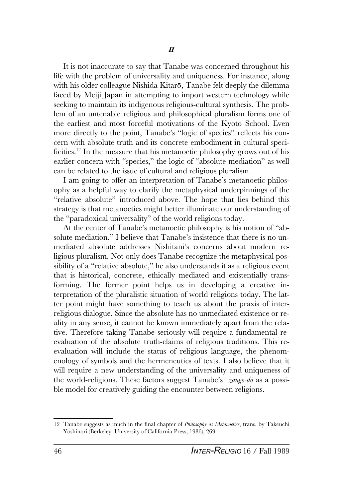It is not inaccurate to say that Tanabe was concerned throughout his life with the problem of universality and uniqueness. For instance, along with his older colleague Nishida Kitarõ, Tanabe felt deeply the dilemma faced by Meiji Japan in attempting to import western technology while seeking to maintain its indigenous religious-cultural synthesis. The problem of an untenable religious and philosophical pluralism forms one of the earliest and most forceful motivations of the Kyoto School. Even more directly to the point, Tanabe's "logic of species" reflects his concern with absolute truth and its concrete embodiment in cultural specificities.<sup>12</sup> In the measure that his metanoetic philosophy grows out of his earlier concern with "species," the logic of "absolute mediation" as well can be related to the issue of cultural and religious pluralism.

I am going to offer an interpretation of Tanabe's metanoetic philosophy as a helpful way to clarify the metaphysical underpinnings of the "relative absolute" introduced above. The hope that lies behind this strategy is that metanoetics might better illuminate our understanding of the "paradoxical universality" of the world religions today.

At the center of Tanabe's metanoetic philosophy is his notion of "absolute mediation." I believe that Tanabe's insistence that there is no unmediated absolute addresses Nishitani's concerns about modern religious pluralism. Not only does Tanabe recognize the metaphysical possibility of a "relative absolute," he also understands it as a religious event that is historical, concrete, ethically mediated and existentially transforming. The former point helps us in developing a creative interpretation of the pluralistic situation of world religions today. The latter point might have something to teach us about the praxis of interreligious dialogue. Since the absolute has no unmediated existence or reality in any sense, it cannot be known immediately apart from the relative. Therefore taking Tanabe seriously will require a fundamental reevaluation of the absolute truth-claims of religious traditions. This reevaluation will include the status of religious language, the phenomenology of symbols and the hermeneutics of texts. I also believe that it will require a new understanding of the universality and uniqueness of the world-religions. These factors suggest Tanabe's *zange-dõ* as a possible model for creatively guiding the encounter between religions.

<sup>12</sup> Tanabe suggests as much in the final chapter of *Philosophy as Metanoetics*, trans. by Takeuchi Yoshinori (Berkeley: University of California Press, 1986), 269.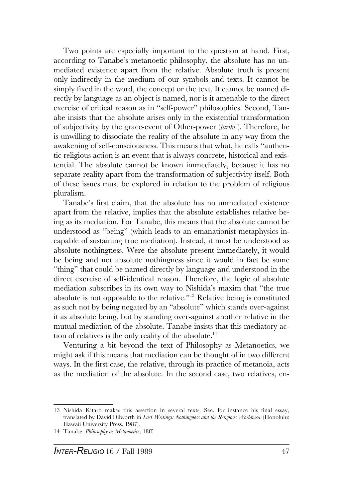Two points are especially important to the question at hand. First, according to Tanabe's metanoetic philosophy, the absolute has no unmediated existence apart from the relative. Absolute truth is present only indirectly in the medium of our symbols and texts. It cannot be simply fixed in the word, the concept or the text. It cannot be named directly by language as an object is named, nor is it amenable to the direct exercise of critical reason as in "self-power" philosophies. Second, Tanabe insists that the absolute arises only in the existential transformation of subjectivity by the grace-event of Other-power (*tariki* ). Therefore, he is unwilling to dissociate the reality of the absolute in any way from the awakening of self-consciousness. This means that what, he calls "authentic religious action is an event that is always concrete, historical and existential. The absolute cannot be known immediately, because it has no separate reality apart from the transformation of subjectivity itself. Both of these issues must be explored in relation to the problem of religious pluralism.

Tanabe's first claim, that the absolute has no unmediated existence apart from the relative, implies that the absolute establishes relative being as its mediation. For Tanabe, this means that the absolute cannot be understood as "being" (which leads to an emanationist metaphysics incapable of sustaining true mediation). Instead, it must be understood as absolute nothingness. Were the absolute present immediately, it would be being and not absolute nothingness since it would in fact be some "thing" that could be named directly by language and understood in the direct exercise of self-identical reason. Therefore, the logic of absolute mediation subscribes in its own way to Nishida's maxim that "the true absolute is not opposable to the relative."<sup>13</sup> Relative being is constituted as such not by being negated by an "absolute" which stands over-against it as absolute being, but by standing over-against another relative in the mutual mediation of the absolute. Tanabe insists that this mediatory action of relatives is the only reality of the absolute.<sup>14</sup>

Venturing a bit beyond the text of Philosophy as Metanoetics, we might ask if this means that mediation can be thought of in two different ways. In the first case, the relative, through its practice of metanoia, acts as the mediation of the absolute. In the second case, two relatives, en-

<sup>13</sup> Nishida Kitarõ makes this assertion in several texts. See, for instance his final essay, translated by David Dilworth in *Last Writings: Nothingness and the Religious Worldview* (Honolulu: Hawaii University Press, 1987).

<sup>14</sup> Tanabe. *Philosophy as Metanoetics*, 18ff.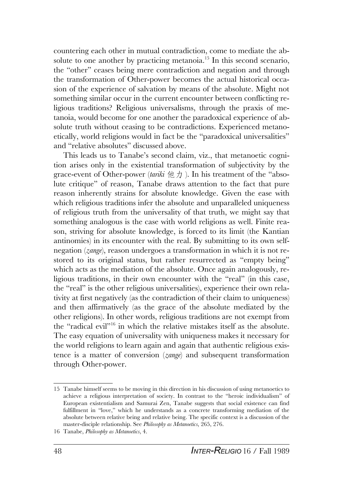countering each other in mutual contradiction, come to mediate the absolute to one another by practicing metanoia.<sup>15</sup> In this second scenario, the "other" ceases being mere contradiction and negation and through the transformation of Other-power becomes the actual historical occasion of the experience of salvation by means of the absolute. Might not something similar occur in the current encounter between conflicting religious traditions? Religious universalisms, through the praxis of metanoia, would become for one another the paradoxical experience of absolute truth without ceasing to be contradictions. Experienced metanoetically, world religions would in fact be the "paradoxical universalities" and "relative absolutes" discussed above.

This leads us to Tanabe's second claim, viz., that metanoetic cognition arises only in the existential transformation of subjectivity by the grace-event of Other-power (*tariki*  $\langle \underline{u}, \underline{f} \rangle$ ). In his treatment of the "absolute critique" of reason, Tanabe draws attention to the fact that pure reason inherently strains for absolute knowledge. Given the ease with which religious traditions infer the absolute and unparalleled uniqueness of religious truth from the universality of that truth, we might say that something analogous is the case with world religions as well. Finite reason, striving for absolute knowledge, is forced to its limit (the Kantian antinomies) in its encounter with the real. By submitting to its own selfnegation (*zange*), reason undergoes a transformation in which it is not restored to its original status, but rather resurrected as "empty being" which acts as the mediation of the absolute. Once again analogously, religious traditions, in their own encounter with the "real" (in this case, the "real" is the other religious universalities), experience their own relativity at first negatively (as the contradiction of their claim to uniqueness) and then affirmatively (as the grace of the absolute mediated by the other religions). In other words, religious traditions are not exempt from the "radical evil"<sup>16</sup> in which the relative mistakes itself as the absolute. The easy equation of universality with uniqueness makes it necessary for the world religions to learn again and again that authentic religious existence is a matter of conversion (*zange*) and subsequent transformation through Other-power.

<sup>15</sup> Tanabe himself seems to be moving in this direction in his discussion of using metanoetics to achieve a religious interpretation of society. In contrast to the "heroic individualism" of European existentialism and Samurai Zen, Tanabe suggests that social existence can find fulfillment in "love," which he understands as a concrete transforming mediation of the absolute between relative being and relative being. The specific context is a discussion of the master-disciple relationship. See *Philosophy as Metanoetics*, 265, 276.

<sup>16</sup> Tanabe, *Philosophy as Metanoetics*, 4.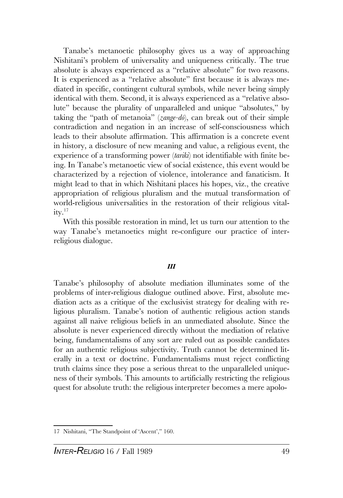Tanabe's metanoetic philosophy gives us a way of approaching Nishitani's problem of universality and uniqueness critically. The true absolute is always experienced as a "relative absolute" for two reasons. It is experienced as a "relative absolute" first because it is always mediated in specific, contingent cultural symbols, while never being simply identical with them. Second, it is always experienced as a "relative absolute" because the plurality of unparalleled and unique "absolutes," by taking the "path of metanoia" (*zange-dõ*), can break out of their simple contradiction and negation in an increase of self-consciousness which leads to their absolute affirmation. This affirmation is a concrete event in history, a disclosure of new meaning and value, a religious event, the experience of a transforming power (*tariki*) not identifiable with finite being. In Tanabe's metanoetic view of social existence, this event would be characterized by a rejection of violence, intolerance and fanaticism. It might lead to that in which Nishitani places his hopes, viz., the creative appropriation of religious pluralism and the mutual transformation of world-religious universalities in the restoration of their religious vital- $\text{itv.}^{\frac{17}{2}}$ 

With this possible restoration in mind, let us turn our attention to the way Tanabe's metanoetics might re-configure our practice of interreligious dialogue.

## *III*

Tanabe's philosophy of absolute mediation illuminates some of the problems of inter-religious dialogue outlined above. First, absolute mediation acts as a critique of the exclusivist strategy for dealing with religious pluralism. Tanabe's notion of authentic religious action stands against all naive religious beliefs in an unmediated absolute. Since the absolute is never experienced directly without the mediation of relative being, fundamentalisms of any sort are ruled out as possible candidates for an authentic religious subjectivity. Truth cannot be determined literally in a text or doctrine. Fundamentalisms must reject conflicting truth claims since they pose a serious threat to the unparalleled uniqueness of their symbols. This amounts to artificially restricting the religious quest for absolute truth: the religious interpreter becomes a mere apolo-

<sup>17</sup> Nishitani, "The Standpoint of 'Ascent'," 160.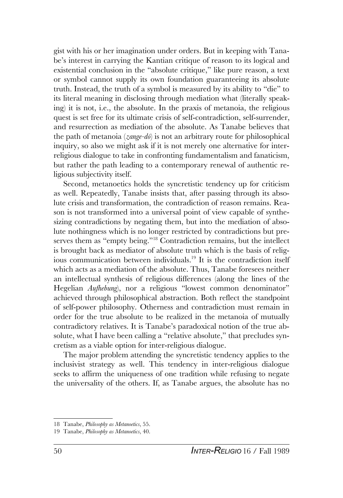gist with his or her imagination under orders. But in keeping with Tanabe's interest in carrying the Kantian critique of reason to its logical and existential conclusion in the "absolute critique," like pure reason, a text or symbol cannot supply its own foundation guaranteeing its absolute truth. Instead, the truth of a symbol is measured by its ability to "die" to its literal meaning in disclosing through mediation what (literally speaking) it is not, i.e., the absolute. In the praxis of metanoia, the religious quest is set free for its ultimate crisis of self-contradiction, self-surrender, and resurrection as mediation of the absolute. As Tanabe believes that the path of metanoia (*zange-dõ*) is not an arbitrary route for philosophical inquiry, so also we might ask if it is not merely one alternative for interreligious dialogue to take in confronting fundamentalism and fanaticism, but rather the path leading to a contemporary renewal of authentic religious subjectivity itself.

Second, metanoetics holds the syncretistic tendency up for criticism as well. Repeatedly, Tanabe insists that, after passing through its absolute crisis and transformation, the contradiction of reason remains. Reason is not transformed into a universal point of view capable of synthesizing contradictions by negating them, but into the mediation of absolute nothingness which is no longer restricted by contradictions but preserves them as "empty being."<sup>18</sup> Contradiction remains, but the intellect is brought back as mediator of absolute truth which is the basis of religious communication between individuals.<sup>19</sup> It is the contradiction itself which acts as a mediation of the absolute. Thus, Tanabe foresees neither an intellectual synthesis of religious differences (along the lines of the Hegelian *Aufhebung*), nor a religious "lowest common denominator" achieved through philosophical abstraction. Both reflect the standpoint of self-power philosophy. Otherness and contradiction must remain in order for the true absolute to be realized in the metanoia of mutually contradictory relatives. It is Tanabe's paradoxical notion of the true absolute, what I have been calling a "relative absolute," that precludes syncretism as a viable option for inter-religious dialogue.

The major problem attending the syncretistic tendency applies to the inclusivist strategy as well. This tendency in inter-religious dialogue seeks to affirm the uniqueness of one tradition while refusing to negate the universality of the others. If, as Tanabe argues, the absolute has no

<sup>18</sup> Tanabe, *Philosophy as Metanoetics*, 55.

<sup>19</sup> Tanabe, *Philosophy as Metanoetics*, 40.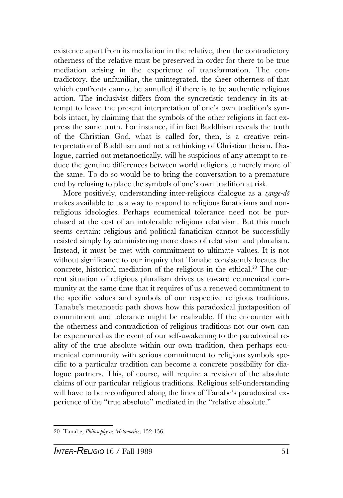existence apart from its mediation in the relative, then the contradictory otherness of the relative must be preserved in order for there to be true mediation arising in the experience of transformation. The contradictory, the unfamiliar, the unintegrated, the sheer otherness of that which confronts cannot be annulled if there is to be authentic religious action. The inclusivist differs from the syncretistic tendency in its attempt to leave the present interpretation of one's own tradition's symbols intact, by claiming that the symbols of the other religions in fact express the same truth. For instance, if in fact Buddhism reveals the truth of the Christian God, what is called for, then, is a creative reinterpretation of Buddhism and not a rethinking of Christian theism. Dialogue, carried out metanoetically, will be suspicious of any attempt to reduce the genuine differences between world religions to merely more of the same. To do so would be to bring the conversation to a premature end by refusing to place the symbols of one's own tradition at risk.

More positively, understanding inter-religious dialogue as a *zange-dõ* makes available to us a way to respond to religious fanaticisms and nonreligious ideologies. Perhaps ecumenical tolerance need not be purchased at the cost of an intolerable religious relativism. But this much seems certain: religious and political fanaticism cannot be successfully resisted simply by administering more doses of relativism and pluralism. Instead, it must be met with commitment to ultimate values. It is not without significance to our inquiry that Tanabe consistently locates the concrete, historical mediation of the religious in the ethical.<sup>20</sup> The current situation of religious pluralism drives us toward ecumenical community at the same time that it requires of us a renewed commitment to the specific values and symbols of our respective religious traditions. Tanabe's metanoetic path shows how this paradoxical juxtaposition of commitment and tolerance might be realizable. If the encounter with the otherness and contradiction of religious traditions not our own can be experienced as the event of our self-awakening to the paradoxical reality of the true absolute within our own tradition, then perhaps ecumenical community with serious commitment to religious symbols specific to a particular tradition can become a concrete possibility for dialogue partners. This, of course, will require a revision of the absolute claims of our particular religious traditions. Religious self-understanding will have to be reconfigured along the lines of Tanabe's paradoxical experience of the "true absolute" mediated in the "relative absolute."

<sup>20</sup> Tanabe, *Philosophy as Metanoetics*, 152-156.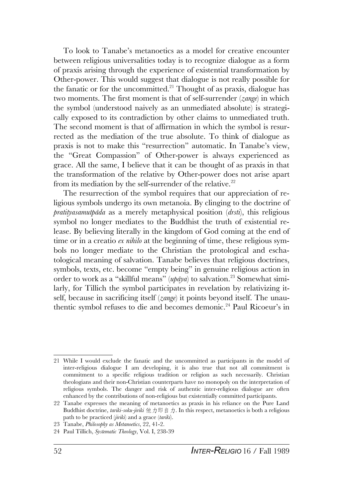To look to Tanabe's metanoetics as a model for creative encounter between religious universalities today is to recognize dialogue as a form of praxis arising through the experience of existential transformation by Other-power. This would suggest that dialogue is not really possible for the fanatic or for the uncommitted.<sup>21</sup> Thought of as praxis, dialogue has two moments. The first moment is that of self-surrender (*zange*) in which the symbol (understood naively as an unmediated absolute) is strategically exposed to its contradiction by other claims to unmediated truth. The second moment is that of affirmation in which the symbol is resurrected as the mediation of the true absolute. To think of dialogue as praxis is not to make this "resurrection" automatic. In Tanabe's view, the "Great Compassion" of Other-power is always experienced as grace. All the same, I believe that it can be thought of as praxis in that the transformation of the relative by Other-power does not arise apart from its mediation by the self-surrender of the relative.<sup>22</sup>

The resurrection of the symbol requires that our appreciation of religious symbols undergo its own metanoia. By clinging to the doctrine of *pratityasamutpãda* as a merely metaphysical position (*drsti*), this religious symbol no longer mediates to the Buddhist the truth of existential release. By believing literally in the kingdom of God coming at the end of time or in a creatio *ex nihilo* at the beginning of time, these religious symbols no longer mediate to the Christian the protological and eschatological meaning of salvation. Tanabe believes that religious doctrines, symbols, texts, etc. become "empty being" in genuine religious action in order to work as a "skillful means" (*upāya*) to salvation.<sup>23</sup> Somewhat similarly, for Tillich the symbol participates in revelation by relativizing itself, because in sacrificing itself (*zange*) it points beyond itself. The unauthentic symbol refuses to die and becomes demonic.<sup>24</sup> Paul Ricoeur's in

<sup>21</sup> While I would exclude the fanatic and the uncommitted as participants in the model of inter-religious dialogue I am developing, it is also true that not all commitment is commitment to a specific religious tradition or religion as such necessarily. Christian theologians and their non-Christian counterparts have no monopoly on the interpretation of religious symbols. The danger and risk of authentic inter-religious dialogue are often enhanced by the contributions of non-religious but existentially committed participants.

<sup>22</sup> Tanabe expresses the meaning of metanoetics as praxis in his reliance on the Pure Land Buddhist doctrine, *tariki-soku-jiriki*  $\mathcal{U} \oplus \mathcal{I} \oplus \mathcal{I}$ . In this respect, metanoetics is both a religious path to be practiced (*jiriki*) and a grace (*tariki*).

<sup>23</sup> Tanabe, *Philosophy as Metanoetics*, 22, 41-2.

<sup>24</sup> Paul Tillich, *Systematic Theology*, Vol. I, 238-39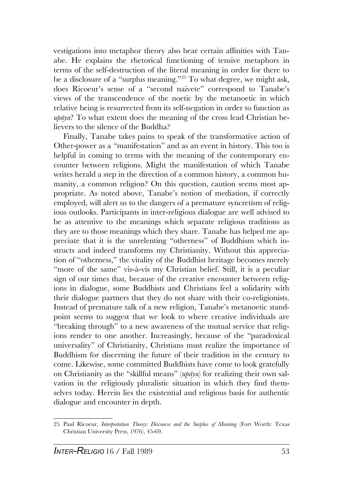vestigations into metaphor theory also bear certain affinities with Tanabe. He explains the rhetorical functioning of tensive metaphors in terms of the self-destruction of the literal meaning in order for there to be a disclosure of a "surplus meaning."<sup>25</sup> To what degree, we might ask, does Ricoeur's sense of a "second naivete" correspond to Tanabe's views of the transcendence of the noetic by the metanoetic in which relative being is resurrected from its self-negation in order to function as *upãya*? To what extent does the meaning of the cross lead Christian believers to the silence of the Buddha?

Finally, Tanabe takes pains to speak of the transformative action of Other-power as a "manifestation" and as an event in history. This too is helpful in coming to terms with the meaning of the contemporary encounter between religions. Might the manifestation of which Tanabe writes herald a step in the direction of a common history, a common humanity, a common religion? On this question, caution seems most appropriate. As noted above, Tanabe's notion of mediation, if correctly employed, will alert us to the dangers of a premature syncretism of religious outlooks. Participants in inter-religious dialogue are well advised to be as attentive to the meanings which separate religious traditions as they are to those meanings which they share. Tanabe has helped me appreciate that it is the unrelenting "otherness" of Buddhism which instructs and indeed transforms my Christianity. Without this appreciation of "otherness," the vitality of the Buddhist heritage becomes merely "more of the same" vis-à-vis my Christian belief. Still, it is a peculiar sign of our times that, because of the creative encounter between religions in dialogue, some Buddhists and Christians feel a solidarity with their dialogue partners that they do not share with their co-religionists. Instead of premature talk of a new religion, Tanabe's metanoetic standpoint seems to suggest that we look to where creative individuals are "breaking through" to a new awareness of the mutual service that religions render to one another. Increasingly, because of the "paradoxical universality" of Christianity, Christians must realize the importance of Buddhism for discerning the future of their tradition in the century to come. Likewise, some committed Buddhists have come to look gratefully on Christianity as the "skillful means" (*upãya*) for realizing their own salvation in the religiously pluralistic situation in which they find themselves today. Herein lies the existential and religious basis for authentic dialogue and encounter in depth.

<sup>25</sup> Paul Ricoeur, *Interpretation Theory: Discourse and the Surplus of Meaning* (Fort Worth: Texas Christian University Press, 1976), 45-69.